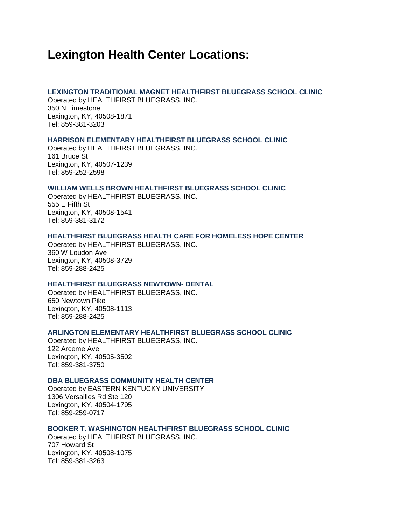# **Lexington Health Center Locations:**

# **LEXINGTON TRADITIONAL MAGNET HEALTHFIRST BLUEGRASS SCHOOL CLINIC**

Operated by HEALTHFIRST BLUEGRASS, INC. 350 N Limestone Lexington, KY, 40508-1871 Tel: 859-381-3203

## **HARRISON ELEMENTARY HEALTHFIRST BLUEGRASS SCHOOL CLINIC**

Operated by HEALTHFIRST BLUEGRASS, INC. 161 Bruce St Lexington, KY, 40507-1239 Tel: 859-252-2598

# **WILLIAM WELLS BROWN HEALTHFIRST BLUEGRASS SCHOOL CLINIC**

Operated by HEALTHFIRST BLUEGRASS, INC. 555 E Fifth St Lexington, KY, 40508-1541 Tel: 859-381-3172

## **HEALTHFIRST BLUEGRASS HEALTH CARE FOR HOMELESS HOPE CENTER**

Operated by HEALTHFIRST BLUEGRASS, INC. 360 W Loudon Ave Lexington, KY, 40508-3729 Tel: 859-288-2425

# **HEALTHFIRST BLUEGRASS NEWTOWN- DENTAL**

Operated by HEALTHFIRST BLUEGRASS, INC. 650 Newtown Pike Lexington, KY, 40508-1113 Tel: 859-288-2425

## **ARLINGTON ELEMENTARY HEALTHFIRST BLUEGRASS SCHOOL CLINIC**

Operated by HEALTHFIRST BLUEGRASS, INC. 122 Arceme Ave Lexington, KY, 40505-3502 Tel: 859-381-3750

## **DBA BLUEGRASS COMMUNITY HEALTH CENTER**

Operated by EASTERN KENTUCKY UNIVERSITY 1306 Versailles Rd Ste 120 Lexington, KY, 40504-1795 Tel: 859-259-0717

# **BOOKER T. WASHINGTON HEALTHFIRST BLUEGRASS SCHOOL CLINIC**

Operated by HEALTHFIRST BLUEGRASS, INC. 707 Howard St Lexington, KY, 40508-1075 Tel: 859-381-3263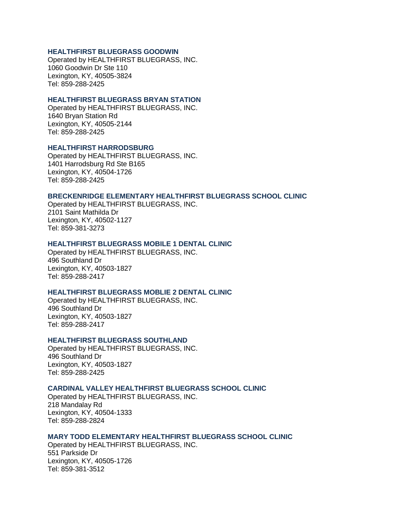## **HEALTHFIRST BLUEGRASS GOODWIN**

Operated by HEALTHFIRST BLUEGRASS, INC. 1060 Goodwin Dr Ste 110 Lexington, KY, 40505-3824 Tel: 859-288-2425

## **HEALTHFIRST BLUEGRASS BRYAN STATION**

Operated by HEALTHFIRST BLUEGRASS, INC. 1640 Bryan Station Rd Lexington, KY, 40505-2144 Tel: 859-288-2425

# **HEALTHFIRST HARRODSBURG**

Operated by HEALTHFIRST BLUEGRASS, INC. 1401 Harrodsburg Rd Ste B165 Lexington, KY, 40504-1726 Tel: 859-288-2425

#### **BRECKENRIDGE ELEMENTARY HEALTHFIRST BLUEGRASS SCHOOL CLINIC**

Operated by HEALTHFIRST BLUEGRASS, INC. 2101 Saint Mathilda Dr Lexington, KY, 40502-1127 Tel: 859-381-3273

### **HEALTHFIRST BLUEGRASS MOBILE 1 DENTAL CLINIC**

Operated by HEALTHFIRST BLUEGRASS, INC. 496 Southland Dr Lexington, KY, 40503-1827 Tel: 859-288-2417

## **HEALTHFIRST BLUEGRASS MOBLIE 2 DENTAL CLINIC**

Operated by HEALTHFIRST BLUEGRASS, INC. 496 Southland Dr Lexington, KY, 40503-1827 Tel: 859-288-2417

#### **HEALTHFIRST BLUEGRASS SOUTHLAND**

Operated by HEALTHFIRST BLUEGRASS, INC. 496 Southland Dr Lexington, KY, 40503-1827 Tel: 859-288-2425

## **CARDINAL VALLEY HEALTHFIRST BLUEGRASS SCHOOL CLINIC**

Operated by HEALTHFIRST BLUEGRASS, INC. 218 Mandalay Rd Lexington, KY, 40504-1333 Tel: 859-288-2824

### **MARY TODD ELEMENTARY HEALTHFIRST BLUEGRASS SCHOOL CLINIC**

Operated by HEALTHFIRST BLUEGRASS, INC. 551 Parkside Dr Lexington, KY, 40505-1726 Tel: 859-381-3512